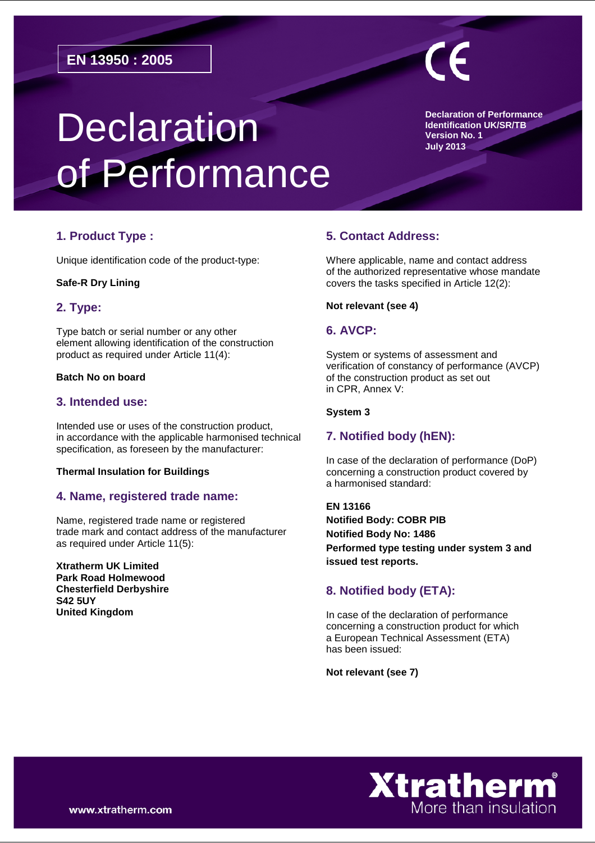# **Declaration** of Performance

**Declaration of Performance Identification UK/SR/TB Version No. 1 July 2013**

# **1. Product Type :**

Unique identification code of the product-type:

#### **Safe-R Dry Lining**

### **2. Type:**

Type batch or serial number or any other element allowing identification of the construction product as required under Article 11(4):

#### **Batch No on board**

### **3. Intended use:**

Intended use or uses of the construction product, in accordance with the applicable harmonised technical specification, as foreseen by the manufacturer:

#### **Thermal Insulation for Buildings**

## **4. Name, registered trade name:**

Name, registered trade name or registered trade mark and contact address of the manufacturer as required under Article 11(5):

**Xtratherm UK Limited Park Road Holmewood Chesterfield Derbyshire S42 5UY United Kingdom**

# **5. Contact Address:**

Where applicable, name and contact address of the authorized representative whose mandate covers the tasks specified in Article 12(2):

#### **Not relevant (see 4)**

### **6. AVCP:**

System or systems of assessment and verification of constancy of performance (AVCP) of the construction product as set out in CPR, Annex V:

#### **System 3**

## **7. Notified body (hEN):**

In case of the declaration of performance (DoP) concerning a construction product covered by a harmonised standard:

**EN 13166 Notified Body: COBR PIB Notified Body No: 1486 Performed type testing under system 3 and issued test reports.** 

## **8. Notified body (ETA):**

In case of the declaration of performance concerning a construction product for which a European Technical Assessment (ETA) has been issued:

**Not relevant (see 7)**